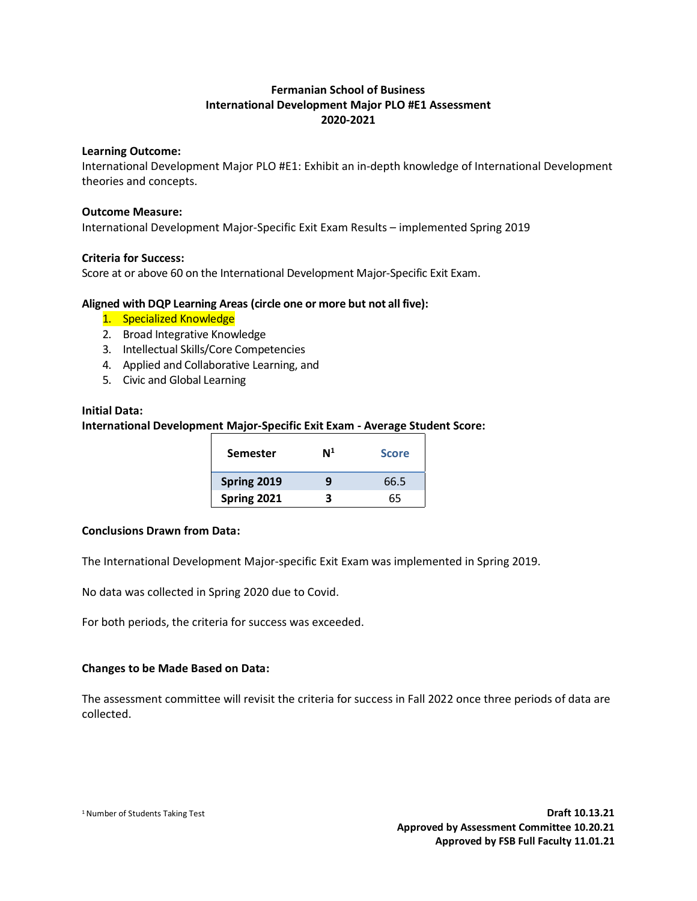## **Fermanian School of Business International Development Major PLO #E1 Assessment 2020-2021**

#### **Learning Outcome:**

International Development Major PLO #E1: Exhibit an in-depth knowledge of International Development theories and concepts.

#### **Outcome Measure:**

International Development Major-Specific Exit Exam Results – implemented Spring 2019

#### **Criteria for Success:**

Score at or above 60 on the International Development Major-Specific Exit Exam.

### **Aligned with DQP Learning Areas (circle one or more but not all five):**

- 1. Specialized Knowledge
- 2. Broad Integrative Knowledge
- 3. Intellectual Skills/Core Competencies
- 4. Applied and Collaborative Learning, and
- 5. Civic and Global Learning

#### **Initial Data:**

### **International Development Major-Specific Exit Exam - Average Student Score:**

| Semester    | $\mathsf{N}^1$ | <b>Score</b> |
|-------------|----------------|--------------|
| Spring 2019 | g              | 66.5         |
| Spring 2021 | R              | 65           |

#### **Conclusions Drawn from Data:**

The International Development Major-specific Exit Exam was implemented in Spring 2019.

No data was collected in Spring 2020 due to Covid.

For both periods, the criteria for success was exceeded.

#### **Changes to be Made Based on Data:**

The assessment committee will revisit the criteria for success in Fall 2022 once three periods of data are collected.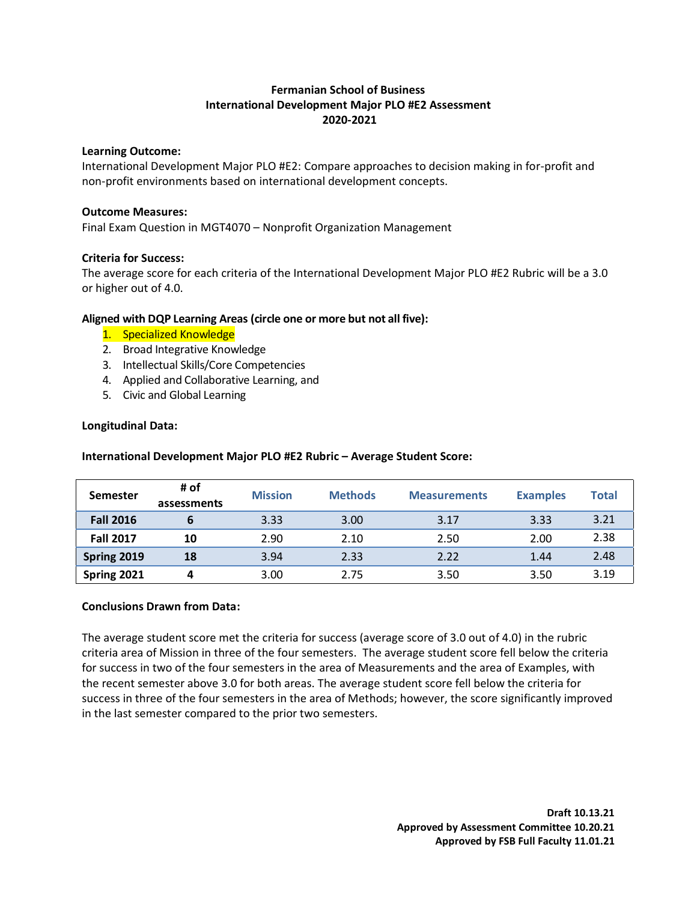## **Fermanian School of Business International Development Major PLO #E2 Assessment 2020-2021**

#### **Learning Outcome:**

International Development Major PLO #E2: Compare approaches to decision making in for-profit and non-profit environments based on international development concepts.

### **Outcome Measures:**

Final Exam Question in MGT4070 – Nonprofit Organization Management

## **Criteria for Success:**

The average score for each criteria of the International Development Major PLO #E2 Rubric will be a 3.0 or higher out of 4.0.

## **Aligned with DQP Learning Areas (circle one or more but not all five):**

- 1. Specialized Knowledge
- 2. Broad Integrative Knowledge
- 3. Intellectual Skills/Core Competencies
- 4. Applied and Collaborative Learning, and
- 5. Civic and Global Learning

## **Longitudinal Data:**

**International Development Major PLO #E2 Rubric – Average Student Score:**

| <b>Semester</b>  | # of<br>assessments | <b>Mission</b> | <b>Methods</b> | <b>Measurements</b> | <b>Examples</b> | <b>Total</b> |
|------------------|---------------------|----------------|----------------|---------------------|-----------------|--------------|
| <b>Fall 2016</b> |                     | 3.33           | 3.00           | 3.17                | 3.33            | 3.21         |
| <b>Fall 2017</b> | 10                  | 2.90           | 2.10           | 2.50                | 2.00            | 2.38         |
| Spring 2019      | 18                  | 3.94           | 2.33           | 2.22                | 1.44            | 2.48         |
| Spring 2021      |                     | 3.00           | 2.75           | 3.50                | 3.50            | 3.19         |

## **Conclusions Drawn from Data:**

The average student score met the criteria for success (average score of 3.0 out of 4.0) in the rubric criteria area of Mission in three of the four semesters. The average student score fell below the criteria for success in two of the four semesters in the area of Measurements and the area of Examples, with the recent semester above 3.0 for both areas. The average student score fell below the criteria for success in three of the four semesters in the area of Methods; however, the score significantly improved in the last semester compared to the prior two semesters.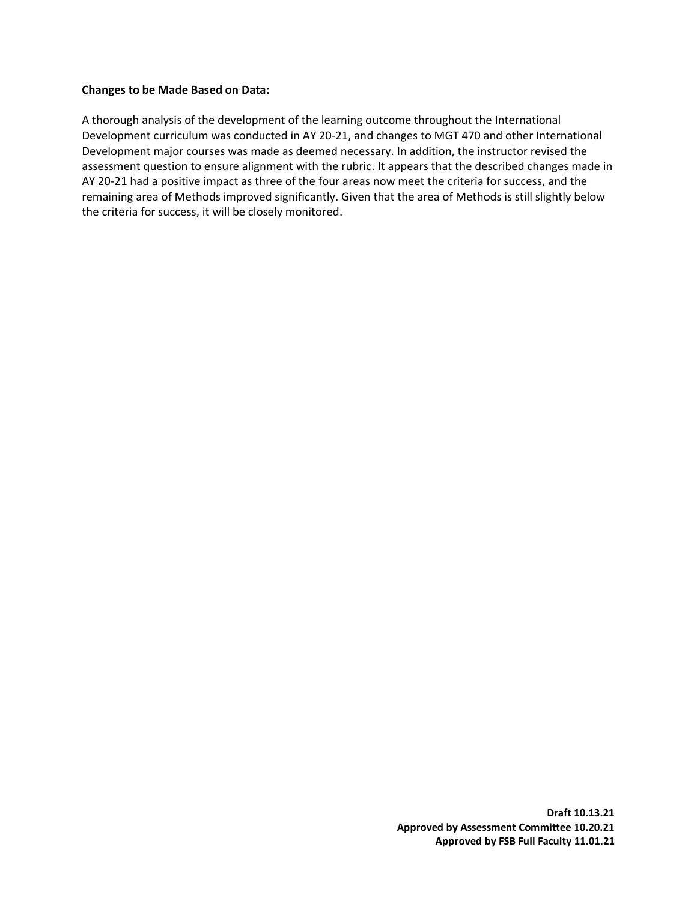#### **Changes to be Made Based on Data:**

A thorough analysis of the development of the learning outcome throughout the International Development curriculum was conducted in AY 20-21, and changes to MGT 470 and other International Development major courses was made as deemed necessary. In addition, the instructor revised the assessment question to ensure alignment with the rubric. It appears that the described changes made in AY 20-21 had a positive impact as three of the four areas now meet the criteria for success, and the remaining area of Methods improved significantly. Given that the area of Methods is still slightly below the criteria for success, it will be closely monitored.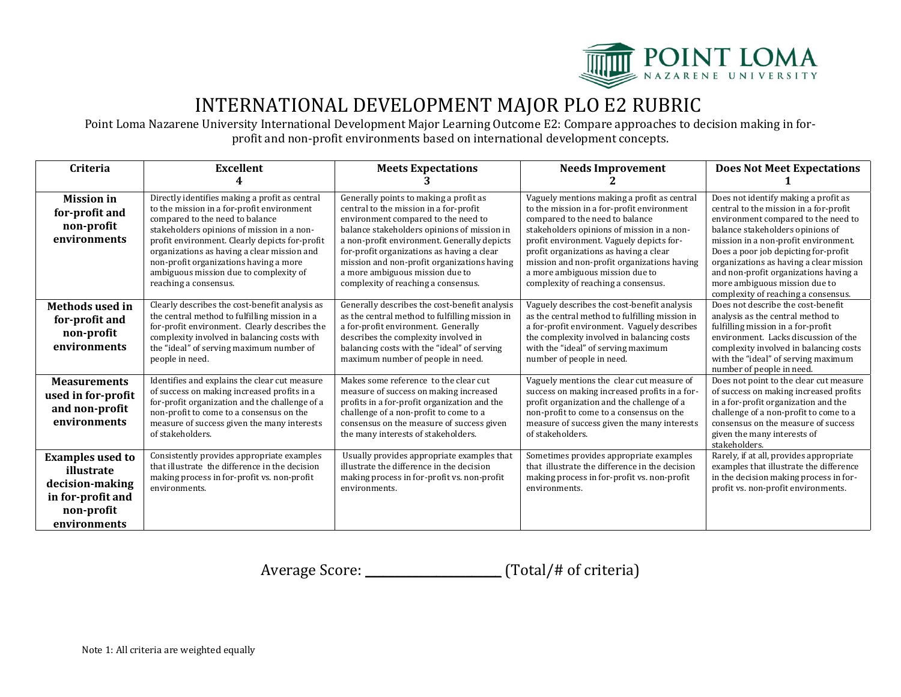

## INTERNATIONAL DEVELOPMENT MAJOR PLO E2 RUBRIC

Point Loma Nazarene University International Development Major Learning Outcome E2: Compare approaches to decision making in forprofit and non-profit environments based on international development concepts.

| Criteria                                                                                                    | <b>Excellent</b>                                                                                                                                                                                                                                                                                                                                                                            | <b>Meets Expectations</b>                                                                                                                                                                                                                                                                                                                                                                    | <b>Needs Improvement</b>                                                                                                                                                                                                                                                                                                                                                                  | <b>Does Not Meet Expectations</b>                                                                                                                                                                                                                                                                                                                                                                     |
|-------------------------------------------------------------------------------------------------------------|---------------------------------------------------------------------------------------------------------------------------------------------------------------------------------------------------------------------------------------------------------------------------------------------------------------------------------------------------------------------------------------------|----------------------------------------------------------------------------------------------------------------------------------------------------------------------------------------------------------------------------------------------------------------------------------------------------------------------------------------------------------------------------------------------|-------------------------------------------------------------------------------------------------------------------------------------------------------------------------------------------------------------------------------------------------------------------------------------------------------------------------------------------------------------------------------------------|-------------------------------------------------------------------------------------------------------------------------------------------------------------------------------------------------------------------------------------------------------------------------------------------------------------------------------------------------------------------------------------------------------|
|                                                                                                             |                                                                                                                                                                                                                                                                                                                                                                                             |                                                                                                                                                                                                                                                                                                                                                                                              |                                                                                                                                                                                                                                                                                                                                                                                           |                                                                                                                                                                                                                                                                                                                                                                                                       |
| <b>Mission</b> in<br>for-profit and<br>non-profit<br>environments                                           | Directly identifies making a profit as central<br>to the mission in a for-profit environment<br>compared to the need to balance<br>stakeholders opinions of mission in a non-<br>profit environment. Clearly depicts for-profit<br>organizations as having a clear mission and<br>non-profit organizations having a more<br>ambiguous mission due to complexity of<br>reaching a consensus. | Generally points to making a profit as<br>central to the mission in a for-profit<br>environment compared to the need to<br>balance stakeholders opinions of mission in<br>a non-profit environment. Generally depicts<br>for-profit organizations as having a clear<br>mission and non-profit organizations having<br>a more ambiguous mission due to<br>complexity of reaching a consensus. | Vaguely mentions making a profit as central<br>to the mission in a for-profit environment<br>compared to the need to balance<br>stakeholders opinions of mission in a non-<br>profit environment. Vaguely depicts for-<br>profit organizations as having a clear<br>mission and non-profit organizations having<br>a more ambiguous mission due to<br>complexity of reaching a consensus. | Does not identify making a profit as<br>central to the mission in a for-profit<br>environment compared to the need to<br>balance stakeholders opinions of<br>mission in a non-profit environment.<br>Does a poor job depicting for-profit<br>organizations as having a clear mission<br>and non-profit organizations having a<br>more ambiguous mission due to<br>complexity of reaching a consensus. |
| <b>Methods used in</b><br>for-profit and<br>non-profit<br>environments                                      | Clearly describes the cost-benefit analysis as<br>the central method to fulfilling mission in a<br>for-profit environment. Clearly describes the<br>complexity involved in balancing costs with<br>the "ideal" of serving maximum number of<br>people in need.                                                                                                                              | Generally describes the cost-benefit analysis<br>as the central method to fulfilling mission in<br>a for-profit environment. Generally<br>describes the complexity involved in<br>balancing costs with the "ideal" of serving<br>maximum number of people in need.                                                                                                                           | Vaguely describes the cost-benefit analysis<br>as the central method to fulfilling mission in<br>a for-profit environment. Vaguely describes<br>the complexity involved in balancing costs<br>with the "ideal" of serving maximum<br>number of people in need.                                                                                                                            | Does not describe the cost-benefit<br>analysis as the central method to<br>fulfilling mission in a for-profit<br>environment. Lacks discussion of the<br>complexity involved in balancing costs<br>with the "ideal" of serving maximum<br>number of people in need.                                                                                                                                   |
| <b>Measurements</b><br>used in for-profit<br>and non-profit<br>environments                                 | Identifies and explains the clear cut measure<br>of success on making increased profits in a<br>for-profit organization and the challenge of a<br>non-profit to come to a consensus on the<br>measure of success given the many interests<br>of stakeholders.                                                                                                                               | Makes some reference to the clear cut<br>measure of success on making increased<br>profits in a for-profit organization and the<br>challenge of a non-profit to come to a<br>consensus on the measure of success given<br>the many interests of stakeholders.                                                                                                                                | Vaguely mentions the clear cut measure of<br>success on making increased profits in a for-<br>profit organization and the challenge of a<br>non-profit to come to a consensus on the<br>measure of success given the many interests<br>of stakeholders.                                                                                                                                   | Does not point to the clear cut measure<br>of success on making increased profits<br>in a for-profit organization and the<br>challenge of a non-profit to come to a<br>consensus on the measure of success<br>given the many interests of<br>stakeholders.                                                                                                                                            |
| <b>Examples used to</b><br>illustrate<br>decision-making<br>in for-profit and<br>non-profit<br>environments | Consistently provides appropriate examples<br>that illustrate the difference in the decision<br>making process in for-profit vs. non-profit<br>environments.                                                                                                                                                                                                                                | Usually provides appropriate examples that<br>illustrate the difference in the decision<br>making process in for-profit vs. non-profit<br>environments.                                                                                                                                                                                                                                      | Sometimes provides appropriate examples<br>that illustrate the difference in the decision<br>making process in for-profit vs. non-profit<br>environments.                                                                                                                                                                                                                                 | Rarely, if at all, provides appropriate<br>examples that illustrate the difference<br>in the decision making process in for-<br>profit vs. non-profit environments.                                                                                                                                                                                                                                   |

Average Score: \_\_\_\_\_\_\_\_\_\_\_\_\_\_\_\_\_\_\_\_\_\_\_ (Total/# of criteria)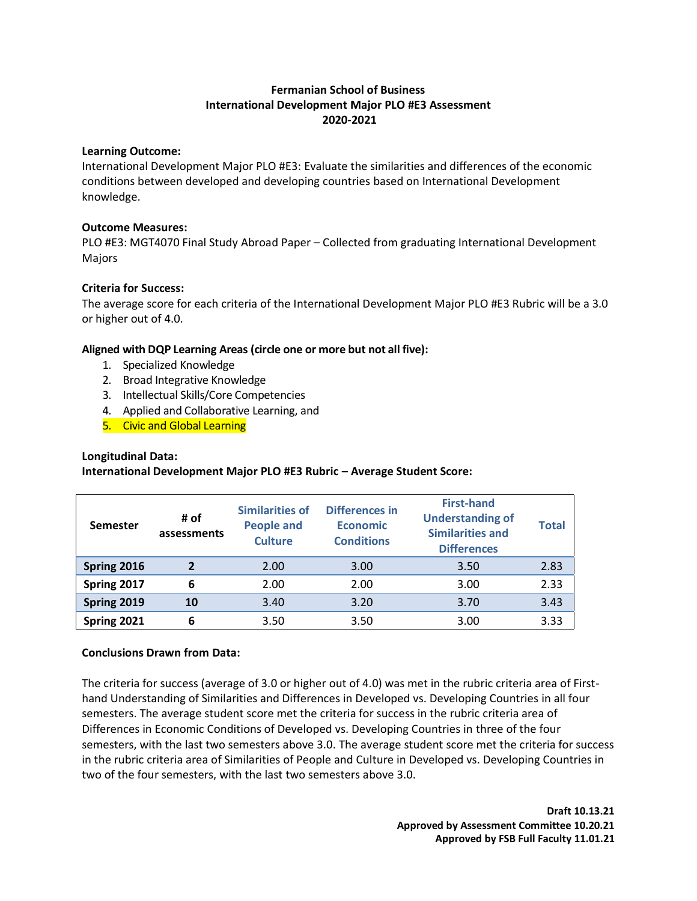## **Fermanian School of Business International Development Major PLO #E3 Assessment 2020-2021**

### **Learning Outcome:**

International Development Major PLO #E3: Evaluate the similarities and differences of the economic conditions between developed and developing countries based on International Development knowledge.

### **Outcome Measures:**

PLO #E3: MGT4070 Final Study Abroad Paper – Collected from graduating International Development Majors

## **Criteria for Success:**

The average score for each criteria of the International Development Major PLO #E3 Rubric will be a 3.0 or higher out of 4.0.

## **Aligned with DQP Learning Areas (circle one or more but not all five):**

- 1. Specialized Knowledge
- 2. Broad Integrative Knowledge
- 3. Intellectual Skills/Core Competencies
- 4. Applied and Collaborative Learning, and
- 5. Civic and Global Learning

## **Longitudinal Data:**

## **International Development Major PLO #E3 Rubric – Average Student Score:**

| <b>Semester</b> | # of<br>assessments     | <b>Similarities of</b><br><b>People and</b><br><b>Culture</b> | <b>Differences in</b><br><b>Economic</b><br><b>Conditions</b> | <b>First-hand</b><br><b>Understanding of</b><br><b>Similarities and</b><br><b>Differences</b> | Total |
|-----------------|-------------------------|---------------------------------------------------------------|---------------------------------------------------------------|-----------------------------------------------------------------------------------------------|-------|
| Spring 2016     | $\overline{\mathbf{z}}$ | 2.00                                                          | 3.00                                                          | 3.50                                                                                          | 2.83  |
| Spring 2017     | 6                       | 2.00                                                          | 2.00                                                          | 3.00                                                                                          | 2.33  |
| Spring 2019     | 10                      | 3.40                                                          | 3.20                                                          | 3.70                                                                                          | 3.43  |
| Spring 2021     | 6                       | 3.50                                                          | 3.50                                                          | 3.00                                                                                          | 3.33  |

## **Conclusions Drawn from Data:**

The criteria for success (average of 3.0 or higher out of 4.0) was met in the rubric criteria area of Firsthand Understanding of Similarities and Differences in Developed vs. Developing Countries in all four semesters. The average student score met the criteria for success in the rubric criteria area of Differences in Economic Conditions of Developed vs. Developing Countries in three of the four semesters, with the last two semesters above 3.0. The average student score met the criteria for success in the rubric criteria area of Similarities of People and Culture in Developed vs. Developing Countries in two of the four semesters, with the last two semesters above 3.0.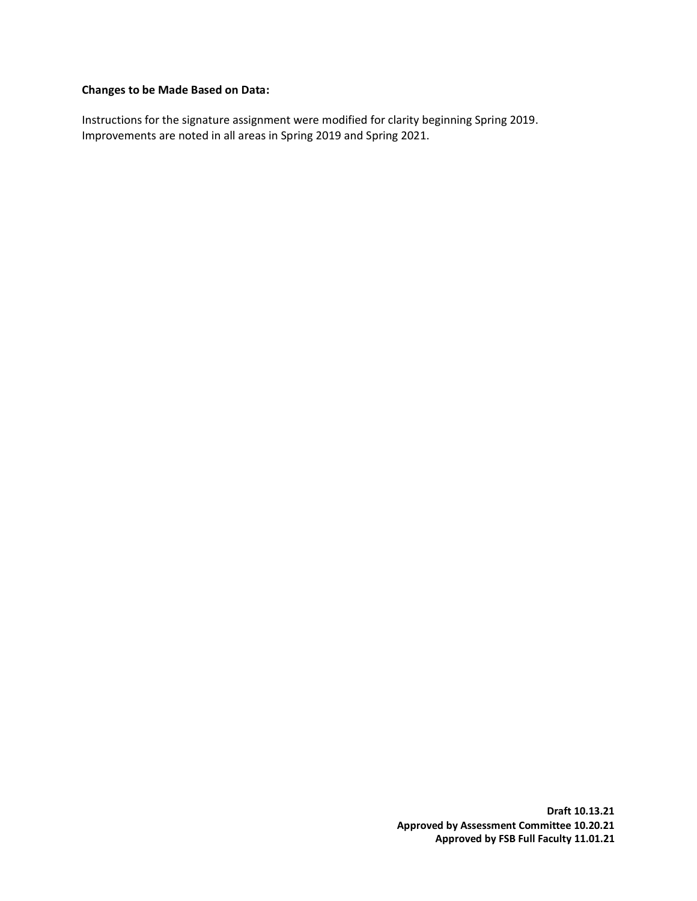## **Changes to be Made Based on Data:**

Instructions for the signature assignment were modified for clarity beginning Spring 2019. Improvements are noted in all areas in Spring 2019 and Spring 2021.

> **Draft 10.13.21 Approved by Assessment Committee 10.20.21 Approved by FSB Full Faculty 11.01.21**